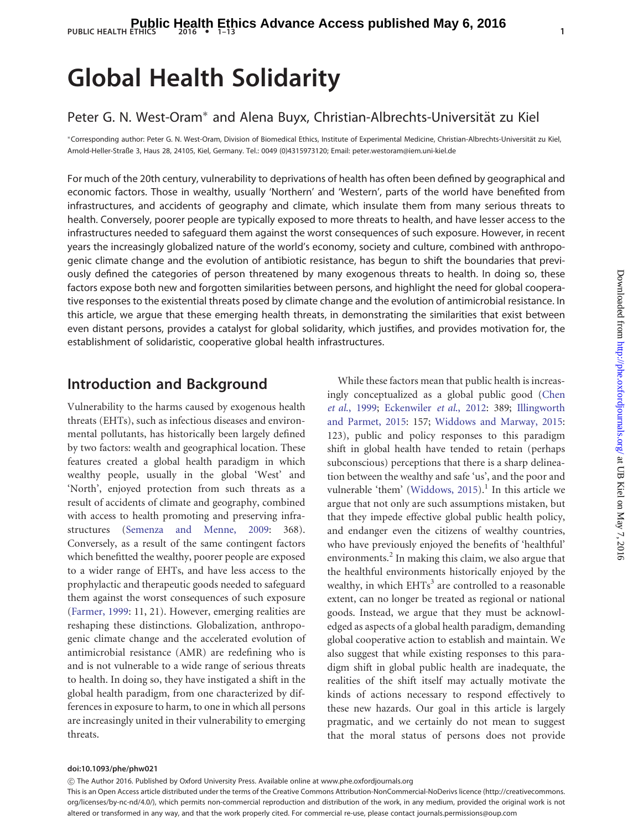Downloaded from http://phe.oxfordjournals.org/ at UB Kiel on May 7, 2016 Downloaded from <http://phe.oxfordjournals.org/> at UB Kiel on May 7, 2016

# Global Health Solidarity

#### Peter G. N. West-Oram<sup>\*</sup> and Alena Buyx, Christian-Albrechts-Universität zu Kiel

\*Corresponding author: Peter G. N. West-Oram, Division of Biomedical Ethics, Institute of Experimental Medicine, Christian-Albrechts-Universität zu Kiel, Arnold-Heller-Straße 3, Haus 28, 24105, Kiel, Germany. Tel.: 0049 (0)4315973120; Email: peter.westoram@iem.uni-kiel.de

For much of the 20th century, vulnerability to deprivations of health has often been defined by geographical and economic factors. Those in wealthy, usually 'Northern' and 'Western', parts of the world have benefited from infrastructures, and accidents of geography and climate, which insulate them from many serious threats to health. Conversely, poorer people are typically exposed to more threats to health, and have lesser access to the infrastructures needed to safeguard them against the worst consequences of such exposure. However, in recent years the increasingly globalized nature of the world's economy, society and culture, combined with anthropogenic climate change and the evolution of antibiotic resistance, has begun to shift the boundaries that previously defined the categories of person threatened by many exogenous threats to health. In doing so, these factors expose both new and forgotten similarities between persons, and highlight the need for global cooperative responses to the existential threats posed by climate change and the evolution of antimicrobial resistance. In this article, we argue that these emerging health threats, in demonstrating the similarities that exist between even distant persons, provides a catalyst for global solidarity, which justifies, and provides motivation for, the establishment of solidaristic, cooperative global health infrastructures.

### Introduction and Background

Vulnerability to the harms caused by exogenous health threats (EHTs), such as infectious diseases and environmental pollutants, has historically been largely defined by two factors: wealth and geographical location. These features created a global health paradigm in which wealthy people, usually in the global 'West' and 'North', enjoyed protection from such threats as a result of accidents of climate and geography, combined with access to health promoting and preserving infrastructures ([Semenza and Menne, 2009:](#page-11-0) 368). Conversely, as a result of the same contingent factors which benefitted the wealthy, poorer people are exposed to a wider range of EHTs, and have less access to the prophylactic and therapeutic goods needed to safeguard them against the worst consequences of such exposure [\(Farmer, 1999](#page-10-0): 11, 21). However, emerging realities are reshaping these distinctions. Globalization, anthropogenic climate change and the accelerated evolution of antimicrobial resistance (AMR) are redefining who is and is not vulnerable to a wide range of serious threats to health. In doing so, they have instigated a shift in the global health paradigm, from one characterized by differences in exposure to harm, to one in which all persons are increasingly united in their vulnerability to emerging threats.

While these factors mean that public health is increasingly conceptualized as a global public good ([Chen](#page-10-0) et al[., 1999;](#page-10-0) [Eckenwiler](#page-10-0) et al., 2012: 389; [Illingworth](#page-10-0) [and Parmet, 2015](#page-10-0): 157; [Widdows and Marway, 2015:](#page-12-0) 123), public and policy responses to this paradigm shift in global health have tended to retain (perhaps subconscious) perceptions that there is a sharp delineation between the wealthy and safe 'us', and the poor and vulnerable 'them' ([Widdows, 2015](#page-12-0)).<sup>1</sup> In this article we argue that not only are such assumptions mistaken, but that they impede effective global public health policy, and endanger even the citizens of wealthy countries, who have previously enjoyed the benefits of 'healthful' environments. $<sup>2</sup>$  In making this claim, we also argue that</sup> the healthful environments historically enjoyed by the wealthy, in which  $EHTs<sup>3</sup>$  are controlled to a reasonable extent, can no longer be treated as regional or national goods. Instead, we argue that they must be acknowledged as aspects of a global health paradigm, demanding global cooperative action to establish and maintain. We also suggest that while existing responses to this paradigm shift in global public health are inadequate, the realities of the shift itself may actually motivate the kinds of actions necessary to respond effectively to these new hazards. Our goal in this article is largely pragmatic, and we certainly do not mean to suggest that the moral status of persons does not provide

! The Author 2016. Published by Oxford University Press. Available online at www.phe.oxfordjournals.org

This is an Open Access article distributed under the terms of the Creative Commons Attribution-NonCommercial-NoDerivs licence ([http://creativecommons.](XPath error Undefined namespace prefix) [org/licenses/by-nc-nd/4.0/](XPath error Undefined namespace prefix)), which permits non-commercial reproduction and distribution of the work, in any medium, provided the original work is not altered or transformed in any way, and that the work properly cited. For commercial re-use, please contact journals.permissions@oup.com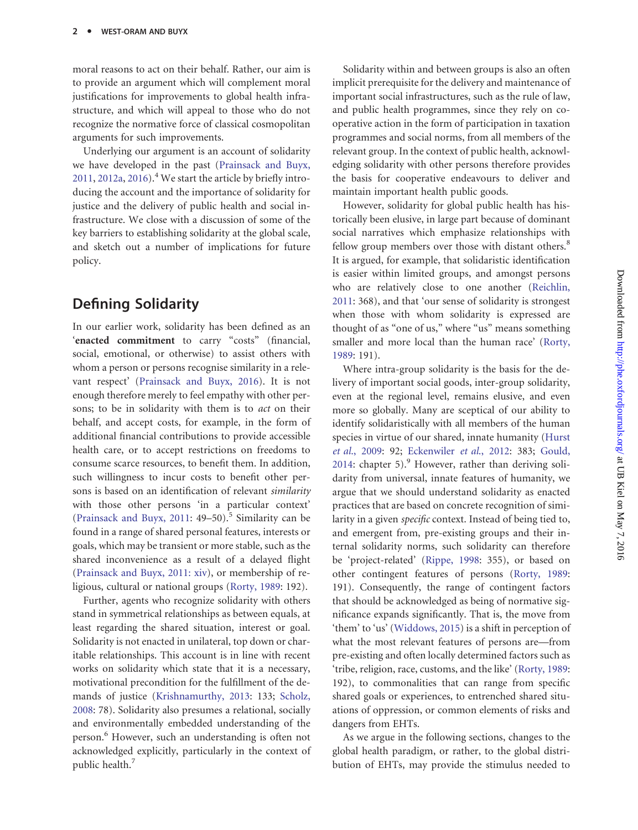moral reasons to act on their behalf. Rather, our aim is to provide an argument which will complement moral justifications for improvements to global health infrastructure, and which will appeal to those who do not recognize the normative force of classical cosmopolitan arguments for such improvements.

Underlying our argument is an account of solidarity we have developed in the past [\(Prainsack and Buyx,](#page-11-0) [2011](#page-11-0), [2012a](#page-11-0), [2016](#page-11-0)). $4^4$  We start the article by briefly introducing the account and the importance of solidarity for justice and the delivery of public health and social infrastructure. We close with a discussion of some of the key barriers to establishing solidarity at the global scale, and sketch out a number of implications for future policy.

#### Defining Solidarity

In our earlier work, solidarity has been defined as an 'enacted commitment to carry "costs" (financial, social, emotional, or otherwise) to assist others with whom a person or persons recognise similarity in a relevant respect' ([Prainsack and Buyx, 2016](#page-11-0)). It is not enough therefore merely to feel empathy with other persons; to be in solidarity with them is to *act* on their behalf, and accept costs, for example, in the form of additional financial contributions to provide accessible health care, or to accept restrictions on freedoms to consume scarce resources, to benefit them. In addition, such willingness to incur costs to benefit other persons is based on an identification of relevant similarity with those other persons 'in a particular context' [\(Prainsack and Buyx, 2011:](#page-11-0)  $49-50$ ).<sup>5</sup> Similarity can be found in a range of shared personal features, interests or goals, which may be transient or more stable, such as the shared inconvenience as a result of a delayed flight [\(Prainsack and Buyx, 2011: xiv\)](#page-11-0), or membership of religious, cultural or national groups [\(Rorty, 1989:](#page-11-0) 192).

Further, agents who recognize solidarity with others stand in symmetrical relationships as between equals, at least regarding the shared situation, interest or goal. Solidarity is not enacted in unilateral, top down or charitable relationships. This account is in line with recent works on solidarity which state that it is a necessary, motivational precondition for the fulfillment of the demands of justice [\(Krishnamurthy, 2013:](#page-10-0) 133; [Scholz,](#page-11-0) [2008](#page-11-0): 78). Solidarity also presumes a relational, socially and environmentally embedded understanding of the person.<sup>6</sup> However, such an understanding is often not acknowledged explicitly, particularly in the context of public health.<sup>7</sup>

Solidarity within and between groups is also an often implicit prerequisite for the delivery and maintenance of important social infrastructures, such as the rule of law, and public health programmes, since they rely on cooperative action in the form of participation in taxation programmes and social norms, from all members of the relevant group. In the context of public health, acknowledging solidarity with other persons therefore provides the basis for cooperative endeavours to deliver and maintain important health public goods.

However, solidarity for global public health has historically been elusive, in large part because of dominant social narratives which emphasize relationships with fellow group members over those with distant others.<sup>8</sup> It is argued, for example, that solidaristic identification is easier within limited groups, and amongst persons who are relatively close to one another [\(Reichlin,](#page-11-0) [2011](#page-11-0): 368), and that 'our sense of solidarity is strongest when those with whom solidarity is expressed are thought of as "one of us," where "us" means something smaller and more local than the human race' ([Rorty,](#page-11-0) [1989](#page-11-0): 191).

Where intra-group solidarity is the basis for the delivery of important social goods, inter-group solidarity, even at the regional level, remains elusive, and even more so globally. Many are sceptical of our ability to identify solidaristically with all members of the human species in virtue of our shared, innate humanity [\(Hurst](#page-10-0) et al[., 2009:](#page-10-0) 92; [Eckenwiler](#page-10-0) et al., 2012: 383; [Gould,](#page-10-0) [2014](#page-10-0): chapter 5). $9$  However, rather than deriving solidarity from universal, innate features of humanity, we argue that we should understand solidarity as enacted practices that are based on concrete recognition of similarity in a given specific context. Instead of being tied to, and emergent from, pre-existing groups and their internal solidarity norms, such solidarity can therefore be 'project-related' [\(Rippe, 1998:](#page-11-0) 355), or based on other contingent features of persons ([Rorty, 1989:](#page-11-0) 191). Consequently, the range of contingent factors that should be acknowledged as being of normative significance expands significantly. That is, the move from 'them' to 'us' ([Widdows, 2015](#page-12-0)) is a shift in perception of what the most relevant features of persons are—from pre-existing and often locally determined factors such as 'tribe, religion, race, customs, and the like' [\(Rorty, 1989:](#page-11-0) 192), to commonalities that can range from specific shared goals or experiences, to entrenched shared situations of oppression, or common elements of risks and dangers from EHTs.

As we argue in the following sections, changes to the global health paradigm, or rather, to the global distribution of EHTs, may provide the stimulus needed to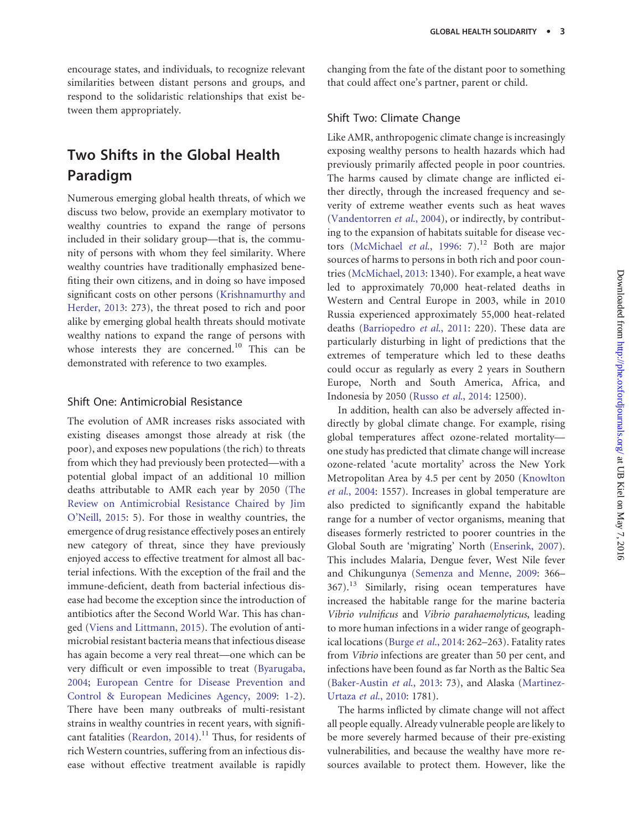encourage states, and individuals, to recognize relevant similarities between distant persons and groups, and respond to the solidaristic relationships that exist between them appropriately.

#### Two Shifts in the Global Health Paradigm

Numerous emerging global health threats, of which we discuss two below, provide an exemplary motivator to wealthy countries to expand the range of persons included in their solidary group—that is, the community of persons with whom they feel similarity. Where wealthy countries have traditionally emphasized benefiting their own citizens, and in doing so have imposed significant costs on other persons ([Krishnamurthy and](#page-10-0) [Herder, 2013:](#page-10-0) 273), the threat posed to rich and poor alike by emerging global health threats should motivate wealthy nations to expand the range of persons with whose interests they are concerned.<sup>10</sup> This can be demonstrated with reference to two examples.

#### Shift One: Antimicrobial Resistance

The evolution of AMR increases risks associated with existing diseases amongst those already at risk (the poor), and exposes new populations (the rich) to threats from which they had previously been protected—with a potential global impact of an additional 10 million deaths attributable to AMR each year by 2050 ([The](#page-11-0) [Review on Antimicrobial Resistance Chaired by Jim](#page-11-0) [O'Neill, 2015:](#page-11-0) 5). For those in wealthy countries, the emergence of drug resistance effectively poses an entirely new category of threat, since they have previously enjoyed access to effective treatment for almost all bacterial infections. With the exception of the frail and the immune-deficient, death from bacterial infectious disease had become the exception since the introduction of antibiotics after the Second World War. This has changed [\(Viens and Littmann, 2015\)](#page-11-0). The evolution of antimicrobial resistant bacteria means that infectious disease has again become a very real threat—one which can be very difficult or even impossible to treat ([Byarugaba,](#page-9-0) [2004;](#page-9-0) [European Centre for Disease Prevention and](#page-10-0) [Control & European Medicines Agency, 2009: 1-2](#page-10-0)). There have been many outbreaks of multi-resistant strains in wealthy countries in recent years, with signifi-cant fatalities ([Reardon, 2014\)](#page-11-0).<sup>11</sup> Thus, for residents of rich Western countries, suffering from an infectious disease without effective treatment available is rapidly changing from the fate of the distant poor to something that could affect one's partner, parent or child.

#### Shift Two: Climate Change

Like AMR, anthropogenic climate change is increasingly exposing wealthy persons to health hazards which had previously primarily affected people in poor countries. The harms caused by climate change are inflicted either directly, through the increased frequency and severity of extreme weather events such as heat waves [\(Vandentorren](#page-11-0) et al., 2004), or indirectly, by contributing to the expansion of habitats suitable for disease vec-tors [\(McMichael](#page-11-0) et al., 1996: 7).<sup>12</sup> Both are major sources of harms to persons in both rich and poor countries ([McMichael, 2013](#page-11-0): 1340). For example, a heat wave led to approximately 70,000 heat-related deaths in Western and Central Europe in 2003, while in 2010 Russia experienced approximately 55,000 heat-related deaths ([Barriopedro](#page-9-0) et al., 2011: 220). These data are particularly disturbing in light of predictions that the extremes of temperature which led to these deaths could occur as regularly as every 2 years in Southern Europe, North and South America, Africa, and Indonesia by 2050 (Russo et al[., 2014:](#page-11-0) 12500).

In addition, health can also be adversely affected indirectly by global climate change. For example, rising global temperatures affect ozone-related mortality one study has predicted that climate change will increase ozone-related 'acute mortality' across the New York Metropolitan Area by 4.5 per cent by 2050 ([Knowlton](#page-10-0) et al[., 2004](#page-10-0): 1557). Increases in global temperature are also predicted to significantly expand the habitable range for a number of vector organisms, meaning that diseases formerly restricted to poorer countries in the Global South are 'migrating' North ([Enserink, 2007](#page-10-0)). This includes Malaria, Dengue fever, West Nile fever and Chikungunya [\(Semenza and Menne, 2009](#page-11-0): 366–  $367$ ).<sup>13</sup> Similarly, rising ocean temperatures have increased the habitable range for the marine bacteria Vibrio vulnificus and Vibrio parahaemolyticus, leading to more human infections in a wider range of geographical locations (Burge et al[., 2014](#page-9-0): 262–263). Fatality rates from Vibrio infections are greater than 50 per cent, and infections have been found as far North as the Baltic Sea [\(Baker-Austin](#page-9-0) et al., 2013: 73), and Alaska ([Martinez-](#page-11-0)[Urtaza](#page-11-0) et al., 2010: 1781).

The harms inflicted by climate change will not affect all people equally. Already vulnerable people are likely to be more severely harmed because of their pre-existing vulnerabilities, and because the wealthy have more resources available to protect them. However, like the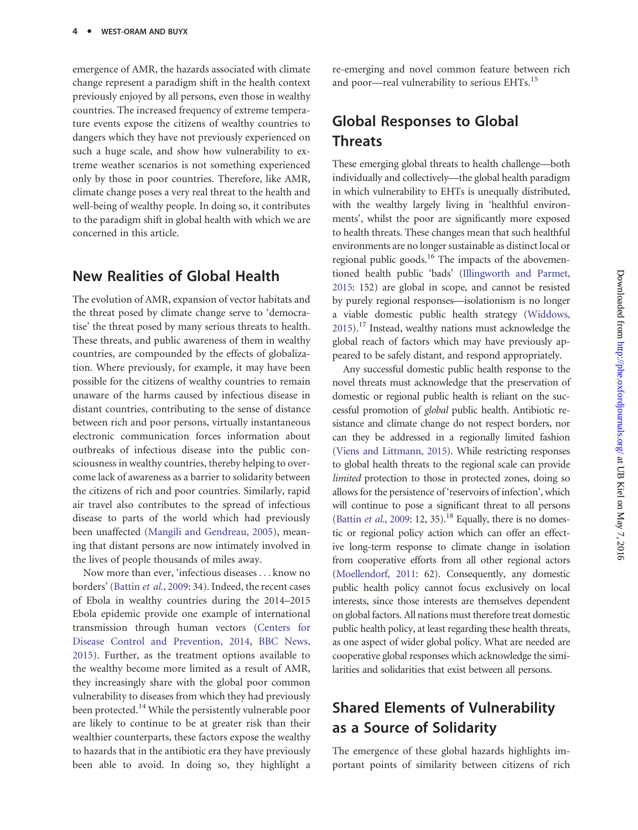emergence of AMR, the hazards associated with climate change represent a paradigm shift in the health context previously enjoyed by all persons, even those in wealthy countries. The increased frequency of extreme temperature events expose the citizens of wealthy countries to dangers which they have not previously experienced on such a huge scale, and show how vulnerability to extreme weather scenarios is not something experienced only by those in poor countries. Therefore, like AMR, climate change poses a very real threat to the health and well-being of wealthy people. In doing so, it contributes to the paradigm shift in global health with which we are concerned in this article.

#### New Realities of Global Health

The evolution of AMR, expansion of vector habitats and the threat posed by climate change serve to 'democratise' the threat posed by many serious threats to health. These threats, and public awareness of them in wealthy countries, are compounded by the effects of globalization. Where previously, for example, it may have been possible for the citizens of wealthy countries to remain unaware of the harms caused by infectious disease in distant countries, contributing to the sense of distance between rich and poor persons, virtually instantaneous electronic communication forces information about outbreaks of infectious disease into the public consciousness in wealthy countries, thereby helping to overcome lack of awareness as a barrier to solidarity between the citizens of rich and poor countries. Similarly, rapid air travel also contributes to the spread of infectious disease to parts of the world which had previously been unaffected [\(Mangili and Gendreau, 2005](#page-10-0)), meaning that distant persons are now intimately involved in the lives of people thousands of miles away.

Now more than ever, 'infectious diseases... know no borders' (Battin et al[., 2009](#page-9-0): 34). Indeed, the recent cases of Ebola in wealthy countries during the 2014–2015 Ebola epidemic provide one example of international transmission through human vectors [\(Centers for](#page-10-0) [Disease Control and Prevention, 2014,](#page-10-0) [BBC News,](#page-9-0) [2015](#page-9-0)). Further, as the treatment options available to the wealthy become more limited as a result of AMR, they increasingly share with the global poor common vulnerability to diseases from which they had previously been protected.<sup>14</sup> While the persistently vulnerable poor are likely to continue to be at greater risk than their wealthier counterparts, these factors expose the wealthy to hazards that in the antibiotic era they have previously been able to avoid. In doing so, they highlight a

re-emerging and novel common feature between rich and poor—real vulnerability to serious EHTs.<sup>15</sup>

# Global Responses to Global Threats

These emerging global threats to health challenge—both individually and collectively—the global health paradigm in which vulnerability to EHTs is unequally distributed, with the wealthy largely living in 'healthful environments', whilst the poor are significantly more exposed to health threats. These changes mean that such healthful environments are no longer sustainable as distinct local or regional public goods.<sup>16</sup> The impacts of the abovementioned health public 'bads' ([Illingworth and Parmet,](#page-10-0) [2015:](#page-10-0) 152) are global in scope, and cannot be resisted by purely regional responses—isolationism is no longer a viable domestic public health strategy [\(Widdows,](#page-12-0) [2015\)](#page-12-0).<sup>17</sup> Instead, wealthy nations must acknowledge the global reach of factors which may have previously appeared to be safely distant, and respond appropriately.

Any successful domestic public health response to the novel threats must acknowledge that the preservation of domestic or regional public health is reliant on the successful promotion of global public health. Antibiotic resistance and climate change do not respect borders, nor can they be addressed in a regionally limited fashion [\(Viens and Littmann, 2015](#page-11-0)). While restricting responses to global health threats to the regional scale can provide limited protection to those in protected zones, doing so allows for the persistence of 'reservoirs of infection', which will continue to pose a significant threat to all persons (Battin et al[., 2009](#page-9-0): 12, 35).<sup>18</sup> Equally, there is no domestic or regional policy action which can offer an effective long-term response to climate change in isolation from cooperative efforts from all other regional actors [\(Moellendorf, 2011](#page-11-0): 62). Consequently, any domestic public health policy cannot focus exclusively on local interests, since those interests are themselves dependent on global factors. All nations must therefore treat domestic public health policy, at least regarding these health threats, as one aspect of wider global policy. What are needed are cooperative global responses which acknowledge the similarities and solidarities that exist between all persons.

# Shared Elements of Vulnerability as a Source of Solidarity

The emergence of these global hazards highlights important points of similarity between citizens of rich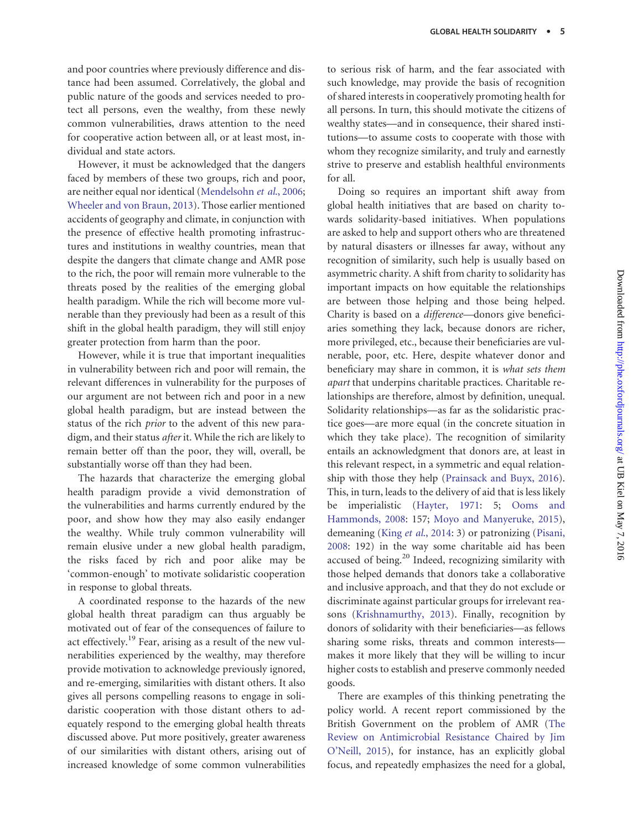and poor countries where previously difference and distance had been assumed. Correlatively, the global and public nature of the goods and services needed to protect all persons, even the wealthy, from these newly common vulnerabilities, draws attention to the need for cooperative action between all, or at least most, individual and state actors.

However, it must be acknowledged that the dangers faced by members of these two groups, rich and poor, are neither equal nor identical ([Mendelsohn](#page-11-0) et al., 2006; [Wheeler and von Braun, 2013](#page-12-0)). Those earlier mentioned accidents of geography and climate, in conjunction with the presence of effective health promoting infrastructures and institutions in wealthy countries, mean that despite the dangers that climate change and AMR pose to the rich, the poor will remain more vulnerable to the threats posed by the realities of the emerging global health paradigm. While the rich will become more vulnerable than they previously had been as a result of this shift in the global health paradigm, they will still enjoy greater protection from harm than the poor.

However, while it is true that important inequalities in vulnerability between rich and poor will remain, the relevant differences in vulnerability for the purposes of our argument are not between rich and poor in a new global health paradigm, but are instead between the status of the rich prior to the advent of this new paradigm, and their status after it. While the rich are likely to remain better off than the poor, they will, overall, be substantially worse off than they had been.

The hazards that characterize the emerging global health paradigm provide a vivid demonstration of the vulnerabilities and harms currently endured by the poor, and show how they may also easily endanger the wealthy. While truly common vulnerability will remain elusive under a new global health paradigm, the risks faced by rich and poor alike may be 'common-enough' to motivate solidaristic cooperation in response to global threats.

A coordinated response to the hazards of the new global health threat paradigm can thus arguably be motivated out of fear of the consequences of failure to act effectively.<sup>19</sup> Fear, arising as a result of the new vulnerabilities experienced by the wealthy, may therefore provide motivation to acknowledge previously ignored, and re-emerging, similarities with distant others. It also gives all persons compelling reasons to engage in solidaristic cooperation with those distant others to adequately respond to the emerging global health threats discussed above. Put more positively, greater awareness of our similarities with distant others, arising out of increased knowledge of some common vulnerabilities

to serious risk of harm, and the fear associated with such knowledge, may provide the basis of recognition of shared interests in cooperatively promoting health for all persons. In turn, this should motivate the citizens of wealthy states—and in consequence, their shared institutions—to assume costs to cooperate with those with whom they recognize similarity, and truly and earnestly strive to preserve and establish healthful environments for all.

Doing so requires an important shift away from global health initiatives that are based on charity towards solidarity-based initiatives. When populations are asked to help and support others who are threatened by natural disasters or illnesses far away, without any recognition of similarity, such help is usually based on asymmetric charity. A shift from charity to solidarity has important impacts on how equitable the relationships are between those helping and those being helped. Charity is based on a difference—donors give beneficiaries something they lack, because donors are richer, more privileged, etc., because their beneficiaries are vulnerable, poor, etc. Here, despite whatever donor and beneficiary may share in common, it is what sets them apart that underpins charitable practices. Charitable relationships are therefore, almost by definition, unequal. Solidarity relationships—as far as the solidaristic practice goes—are more equal (in the concrete situation in which they take place). The recognition of similarity entails an acknowledgment that donors are, at least in this relevant respect, in a symmetric and equal relationship with those they help [\(Prainsack and Buyx, 2016](#page-11-0)). This, in turn, leads to the delivery of aid that is less likely be imperialistic ([Hayter, 1971](#page-10-0): 5; [Ooms and](#page-11-0) [Hammonds, 2008:](#page-11-0) 157; [Moyo and Manyeruke, 2015](#page-11-0)), demeaning (King et al[., 2014](#page-10-0): 3) or patronizing ([Pisani,](#page-11-0) [2008](#page-11-0): 192) in the way some charitable aid has been accused of being.<sup>20</sup> Indeed, recognizing similarity with those helped demands that donors take a collaborative and inclusive approach, and that they do not exclude or discriminate against particular groups for irrelevant reasons ([Krishnamurthy, 2013](#page-10-0)). Finally, recognition by donors of solidarity with their beneficiaries—as fellows sharing some risks, threats and common interests makes it more likely that they will be willing to incur higher costs to establish and preserve commonly needed goods.

There are examples of this thinking penetrating the policy world. A recent report commissioned by the British Government on the problem of AMR ([The](#page-11-0) [Review on Antimicrobial Resistance Chaired by Jim](#page-11-0) [O'Neill, 2015](#page-11-0)), for instance, has an explicitly global focus, and repeatedly emphasizes the need for a global,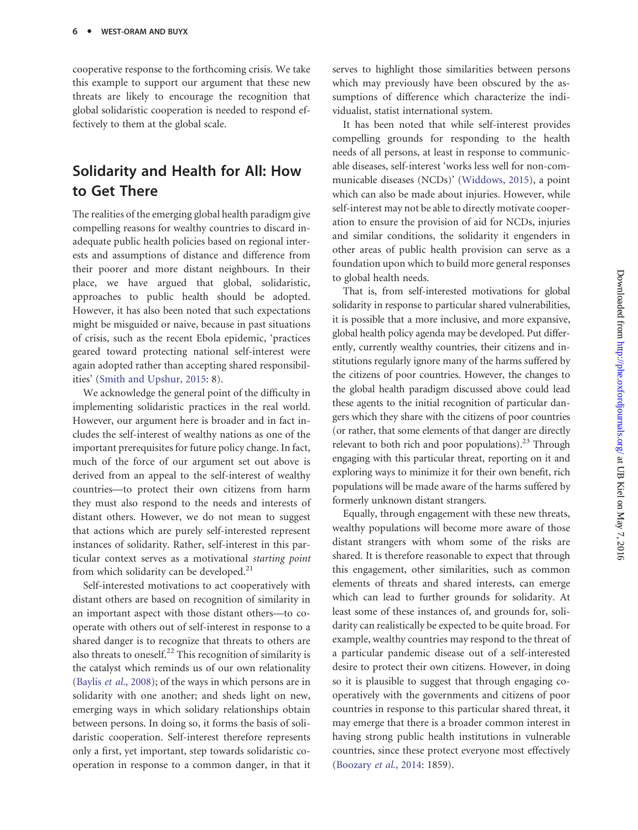cooperative response to the forthcoming crisis. We take this example to support our argument that these new threats are likely to encourage the recognition that global solidaristic cooperation is needed to respond effectively to them at the global scale.

# Solidarity and Health for All: How to Get There

The realities of the emerging global health paradigm give compelling reasons for wealthy countries to discard inadequate public health policies based on regional interests and assumptions of distance and difference from their poorer and more distant neighbours. In their place, we have argued that global, solidaristic, approaches to public health should be adopted. However, it has also been noted that such expectations might be misguided or naive, because in past situations of crisis, such as the recent Ebola epidemic, 'practices geared toward protecting national self-interest were again adopted rather than accepting shared responsibilities' ([Smith and Upshur, 2015](#page-11-0): 8).

We acknowledge the general point of the difficulty in implementing solidaristic practices in the real world. However, our argument here is broader and in fact includes the self-interest of wealthy nations as one of the important prerequisites for future policy change. In fact, much of the force of our argument set out above is derived from an appeal to the self-interest of wealthy countries—to protect their own citizens from harm they must also respond to the needs and interests of distant others. However, we do not mean to suggest that actions which are purely self-interested represent instances of solidarity. Rather, self-interest in this particular context serves as a motivational starting point from which solidarity can be developed. $21$ 

Self-interested motivations to act cooperatively with distant others are based on recognition of similarity in an important aspect with those distant others—to cooperate with others out of self-interest in response to a shared danger is to recognize that threats to others are also threats to oneself.<sup>22</sup> This recognition of similarity is the catalyst which reminds us of our own relationality (Baylis et al[., 2008\)](#page-9-0); of the ways in which persons are in solidarity with one another; and sheds light on new, emerging ways in which solidary relationships obtain between persons. In doing so, it forms the basis of solidaristic cooperation. Self-interest therefore represents only a first, yet important, step towards solidaristic cooperation in response to a common danger, in that it

serves to highlight those similarities between persons which may previously have been obscured by the assumptions of difference which characterize the individualist, statist international system.

It has been noted that while self-interest provides compelling grounds for responding to the health needs of all persons, at least in response to communicable diseases, self-interest 'works less well for non-communicable diseases (NCDs)' [\(Widdows, 2015\)](#page-12-0), a point which can also be made about injuries. However, while self-interest may not be able to directly motivate cooperation to ensure the provision of aid for NCDs, injuries and similar conditions, the solidarity it engenders in other areas of public health provision can serve as a foundation upon which to build more general responses to global health needs.

That is, from self-interested motivations for global solidarity in response to particular shared vulnerabilities, it is possible that a more inclusive, and more expansive, global health policy agenda may be developed. Put differently, currently wealthy countries, their citizens and institutions regularly ignore many of the harms suffered by the citizens of poor countries. However, the changes to the global health paradigm discussed above could lead these agents to the initial recognition of particular dangers which they share with the citizens of poor countries (or rather, that some elements of that danger are directly relevant to both rich and poor populations). $^{23}$  Through engaging with this particular threat, reporting on it and exploring ways to minimize it for their own benefit, rich populations will be made aware of the harms suffered by formerly unknown distant strangers.

Equally, through engagement with these new threats, wealthy populations will become more aware of those distant strangers with whom some of the risks are shared. It is therefore reasonable to expect that through this engagement, other similarities, such as common elements of threats and shared interests, can emerge which can lead to further grounds for solidarity. At least some of these instances of, and grounds for, solidarity can realistically be expected to be quite broad. For example, wealthy countries may respond to the threat of a particular pandemic disease out of a self-interested desire to protect their own citizens. However, in doing so it is plausible to suggest that through engaging cooperatively with the governments and citizens of poor countries in response to this particular shared threat, it may emerge that there is a broader common interest in having strong public health institutions in vulnerable countries, since these protect everyone most effectively ([Boozary](#page-9-0) et al., 2014: 1859).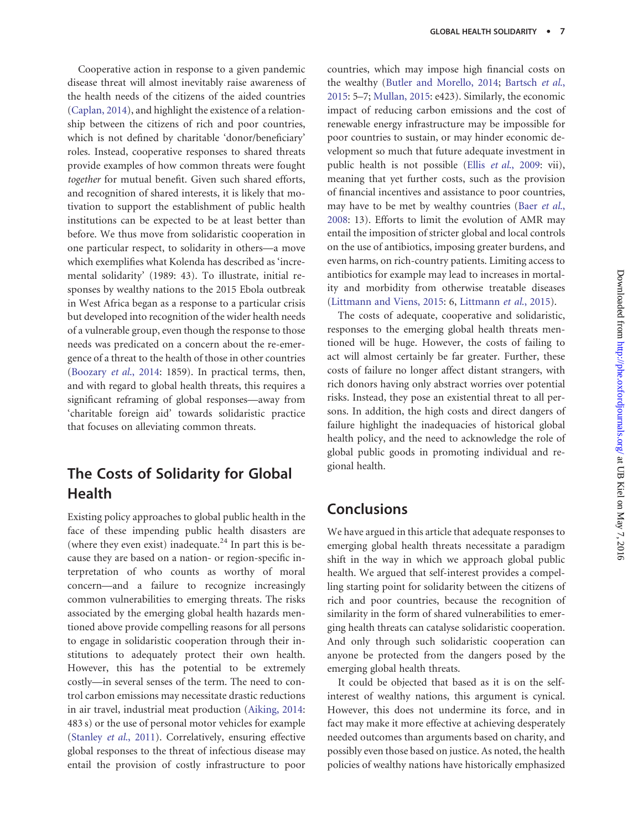Cooperative action in response to a given pandemic disease threat will almost inevitably raise awareness of the health needs of the citizens of the aided countries [\(Caplan, 2014\)](#page-9-0), and highlight the existence of a relationship between the citizens of rich and poor countries, which is not defined by charitable 'donor/beneficiary' roles. Instead, cooperative responses to shared threats provide examples of how common threats were fought together for mutual benefit. Given such shared efforts, and recognition of shared interests, it is likely that motivation to support the establishment of public health institutions can be expected to be at least better than before. We thus move from solidaristic cooperation in one particular respect, to solidarity in others—a move which exemplifies what Kolenda has described as 'incremental solidarity' (1989: 43). To illustrate, initial responses by wealthy nations to the 2015 Ebola outbreak in West Africa began as a response to a particular crisis but developed into recognition of the wider health needs of a vulnerable group, even though the response to those needs was predicated on a concern about the re-emergence of a threat to the health of those in other countries [\(Boozary](#page-9-0) et al., 2014: 1859). In practical terms, then, and with regard to global health threats, this requires a significant reframing of global responses—away from 'charitable foreign aid' towards solidaristic practice that focuses on alleviating common threats.

### The Costs of Solidarity for Global Health

Existing policy approaches to global public health in the face of these impending public health disasters are (where they even exist) inadequate.<sup>24</sup> In part this is because they are based on a nation- or region-specific interpretation of who counts as worthy of moral concern—and a failure to recognize increasingly common vulnerabilities to emerging threats. The risks associated by the emerging global health hazards mentioned above provide compelling reasons for all persons to engage in solidaristic cooperation through their institutions to adequately protect their own health. However, this has the potential to be extremely costly—in several senses of the term. The need to control carbon emissions may necessitate drastic reductions in air travel, industrial meat production [\(Aiking, 2014](#page-9-0): 483 s) or the use of personal motor vehicles for example [\(Stanley](#page-11-0) et al., 2011). Correlatively, ensuring effective global responses to the threat of infectious disease may entail the provision of costly infrastructure to poor countries, which may impose high financial costs on the wealthy [\(Butler and Morello, 2014;](#page-9-0) [Bartsch](#page-9-0) et al., [2015](#page-9-0): 5–7; [Mullan, 2015](#page-11-0): e423). Similarly, the economic impact of reducing carbon emissions and the cost of renewable energy infrastructure may be impossible for poor countries to sustain, or may hinder economic development so much that future adequate investment in public health is not possible (Ellis et al[., 2009:](#page-10-0) vii), meaning that yet further costs, such as the provision of financial incentives and assistance to poor countries, may have to be met by wealthy countries [\(Baer](#page-9-0) et al., [2008](#page-9-0): 13). Efforts to limit the evolution of AMR may entail the imposition of stricter global and local controls on the use of antibiotics, imposing greater burdens, and even harms, on rich-country patients. Limiting access to antibiotics for example may lead to increases in mortality and morbidity from otherwise treatable diseases [\(Littmann and Viens, 2015:](#page-10-0) 6, [Littmann](#page-10-0) et al., 2015).

The costs of adequate, cooperative and solidaristic, responses to the emerging global health threats mentioned will be huge. However, the costs of failing to act will almost certainly be far greater. Further, these costs of failure no longer affect distant strangers, with rich donors having only abstract worries over potential risks. Instead, they pose an existential threat to all persons. In addition, the high costs and direct dangers of failure highlight the inadequacies of historical global health policy, and the need to acknowledge the role of global public goods in promoting individual and regional health.

#### Conclusions

We have argued in this article that adequate responses to emerging global health threats necessitate a paradigm shift in the way in which we approach global public health. We argued that self-interest provides a compelling starting point for solidarity between the citizens of rich and poor countries, because the recognition of similarity in the form of shared vulnerabilities to emerging health threats can catalyse solidaristic cooperation. And only through such solidaristic cooperation can anyone be protected from the dangers posed by the emerging global health threats.

It could be objected that based as it is on the selfinterest of wealthy nations, this argument is cynical. However, this does not undermine its force, and in fact may make it more effective at achieving desperately needed outcomes than arguments based on charity, and possibly even those based on justice. As noted, the health policies of wealthy nations have historically emphasized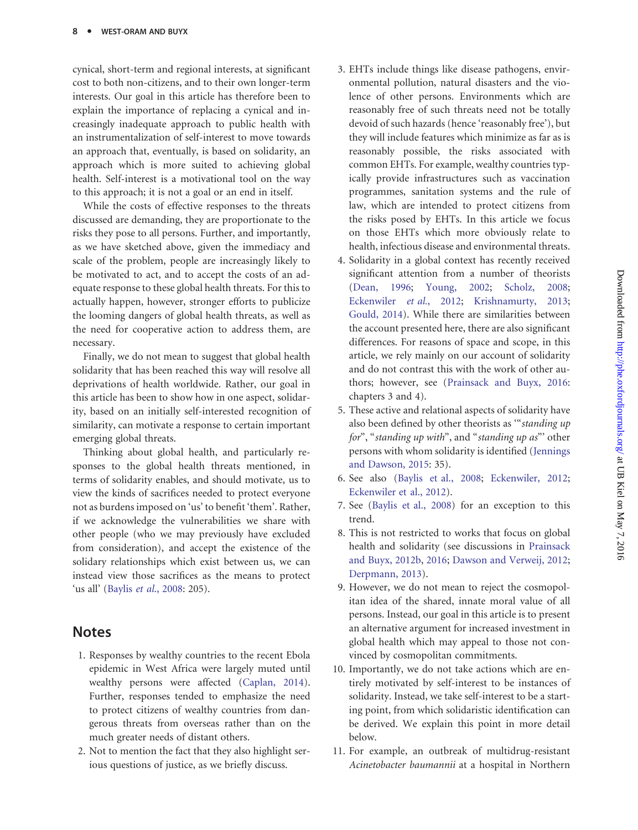cynical, short-term and regional interests, at significant cost to both non-citizens, and to their own longer-term interests. Our goal in this article has therefore been to explain the importance of replacing a cynical and increasingly inadequate approach to public health with an instrumentalization of self-interest to move towards an approach that, eventually, is based on solidarity, an approach which is more suited to achieving global health. Self-interest is a motivational tool on the way to this approach; it is not a goal or an end in itself.

While the costs of effective responses to the threats discussed are demanding, they are proportionate to the risks they pose to all persons. Further, and importantly, as we have sketched above, given the immediacy and scale of the problem, people are increasingly likely to be motivated to act, and to accept the costs of an adequate response to these global health threats. For this to actually happen, however, stronger efforts to publicize the looming dangers of global health threats, as well as the need for cooperative action to address them, are necessary.

Finally, we do not mean to suggest that global health solidarity that has been reached this way will resolve all deprivations of health worldwide. Rather, our goal in this article has been to show how in one aspect, solidarity, based on an initially self-interested recognition of similarity, can motivate a response to certain important emerging global threats.

Thinking about global health, and particularly responses to the global health threats mentioned, in terms of solidarity enables, and should motivate, us to view the kinds of sacrifices needed to protect everyone not as burdens imposed on 'us' to benefit 'them'. Rather, if we acknowledge the vulnerabilities we share with other people (who we may previously have excluded from consideration), and accept the existence of the solidary relationships which exist between us, we can instead view those sacrifices as the means to protect 'us all' (Baylis et al[., 2008](#page-9-0): 205).

#### **Notes**

- 1. Responses by wealthy countries to the recent Ebola epidemic in West Africa were largely muted until wealthy persons were affected ([Caplan, 2014](#page-9-0)). Further, responses tended to emphasize the need to protect citizens of wealthy countries from dangerous threats from overseas rather than on the much greater needs of distant others.
- 2. Not to mention the fact that they also highlight serious questions of justice, as we briefly discuss.
- 3. EHTs include things like disease pathogens, environmental pollution, natural disasters and the violence of other persons. Environments which are reasonably free of such threats need not be totally devoid of such hazards (hence 'reasonably free'), but they will include features which minimize as far as is reasonably possible, the risks associated with common EHTs. For example, wealthy countries typically provide infrastructures such as vaccination programmes, sanitation systems and the rule of law, which are intended to protect citizens from the risks posed by EHTs. In this article we focus on those EHTs which more obviously relate to health, infectious disease and environmental threats.
- 4. Solidarity in a global context has recently received significant attention from a number of theorists ([Dean, 1996](#page-10-0); [Young, 2002](#page-12-0); [Scholz, 2008;](#page-11-0) [Eckenwiler](#page-10-0) et al., 2012; [Krishnamurty, 2013;](#page-10-0) [Gould, 2014](#page-10-0)). While there are similarities between the account presented here, there are also significant differences. For reasons of space and scope, in this article, we rely mainly on our account of solidarity and do not contrast this with the work of other authors; however, see ([Prainsack and Buyx, 2016:](#page-11-0) chapters 3 and 4).
- 5. These active and relational aspects of solidarity have also been defined by other theorists as '"standing up for", "standing up with", and "standing up as"' other persons with whom solidarity is identified [\(Jennings](#page-10-0) [and Dawson, 2015](#page-10-0): 35).
- 6. See also [\(Baylis et al., 2008](#page-9-0); [Eckenwiler, 2012;](#page-10-0) [Eckenwiler et al., 2012\)](#page-10-0).
- 7. See ([Baylis et al., 2008](#page-9-0)) for an exception to this trend.
- 8. This is not restricted to works that focus on global health and solidarity (see discussions in [Prainsack](#page-11-0) [and Buyx, 2012b,](#page-11-0) [2016;](#page-11-0) [Dawson and Verweij, 2012;](#page-10-0) [Derpmann, 2013](#page-10-0)).
- 9. However, we do not mean to reject the cosmopolitan idea of the shared, innate moral value of all persons. Instead, our goal in this article is to present an alternative argument for increased investment in global health which may appeal to those not convinced by cosmopolitan commitments.
- 10. Importantly, we do not take actions which are entirely motivated by self-interest to be instances of solidarity. Instead, we take self-interest to be a starting point, from which solidaristic identification can be derived. We explain this point in more detail below.
- 11. For example, an outbreak of multidrug-resistant Acinetobacter baumannii at a hospital in Northern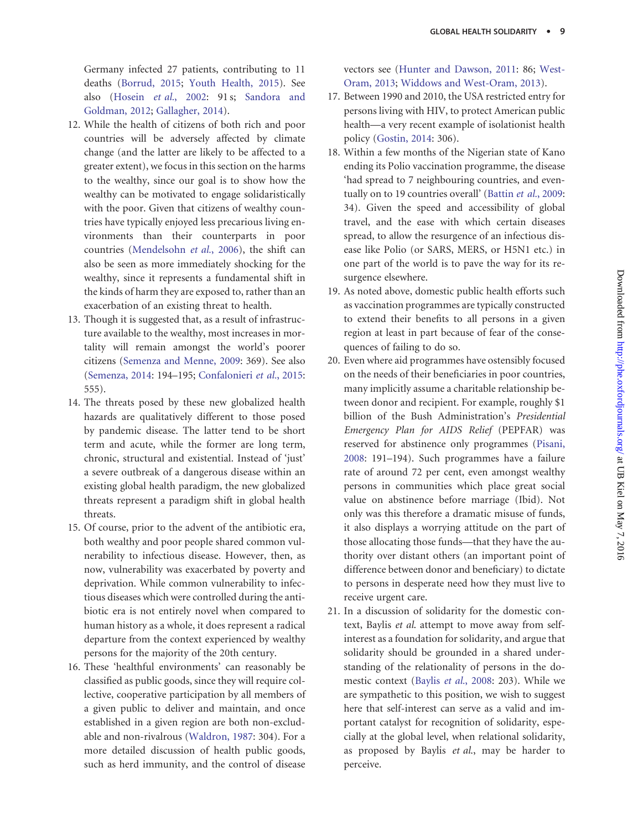Germany infected 27 patients, contributing to 11 deaths ([Borrud, 2015](#page-9-0); [Youth Health, 2015\)](#page-12-0). See also (Hosein et al.[, 2002](#page-10-0): 91 s; [Sandora and](#page-11-0) [Goldman, 2012;](#page-11-0) [Gallagher, 2014\)](#page-10-0).

- 12. While the health of citizens of both rich and poor countries will be adversely affected by climate change (and the latter are likely to be affected to a greater extent), we focus in this section on the harms to the wealthy, since our goal is to show how the wealthy can be motivated to engage solidaristically with the poor. Given that citizens of wealthy countries have typically enjoyed less precarious living environments than their counterparts in poor countries [\(Mendelsohn](#page-11-0) et al., 2006), the shift can also be seen as more immediately shocking for the wealthy, since it represents a fundamental shift in the kinds of harm they are exposed to, rather than an exacerbation of an existing threat to health.
- 13. Though it is suggested that, as a result of infrastructure available to the wealthy, most increases in mortality will remain amongst the world's poorer citizens ([Semenza and Menne, 2009:](#page-11-0) 369). See also [\(Semenza, 2014](#page-11-0): 194–195; [Confalonieri](#page-10-0) et al., 2015: 555).
- 14. The threats posed by these new globalized health hazards are qualitatively different to those posed by pandemic disease. The latter tend to be short term and acute, while the former are long term, chronic, structural and existential. Instead of 'just' a severe outbreak of a dangerous disease within an existing global health paradigm, the new globalized threats represent a paradigm shift in global health threats.
- 15. Of course, prior to the advent of the antibiotic era, both wealthy and poor people shared common vulnerability to infectious disease. However, then, as now, vulnerability was exacerbated by poverty and deprivation. While common vulnerability to infectious diseases which were controlled during the antibiotic era is not entirely novel when compared to human history as a whole, it does represent a radical departure from the context experienced by wealthy persons for the majority of the 20th century.
- 16. These 'healthful environments' can reasonably be classified as public goods, since they will require collective, cooperative participation by all members of a given public to deliver and maintain, and once established in a given region are both non-excludable and non-rivalrous ([Waldron, 1987:](#page-11-0) 304). For a more detailed discussion of health public goods, such as herd immunity, and the control of disease

vectors see [\(Hunter and Dawson, 2011:](#page-10-0) 86; [West-](#page-11-0)[Oram, 2013](#page-11-0); [Widdows and West-Oram, 2013](#page-12-0)).

- 17. Between 1990 and 2010, the USA restricted entry for persons living with HIV, to protect American public health—a very recent example of isolationist health policy ([Gostin, 2014:](#page-10-0) 306).
- 18. Within a few months of the Nigerian state of Kano ending its Polio vaccination programme, the disease 'had spread to 7 neighbouring countries, and even-tually on to 19 countries overall' (Battin et al.[, 2009:](#page-9-0) 34). Given the speed and accessibility of global travel, and the ease with which certain diseases spread, to allow the resurgence of an infectious disease like Polio (or SARS, MERS, or H5N1 etc.) in one part of the world is to pave the way for its resurgence elsewhere.
- 19. As noted above, domestic public health efforts such as vaccination programmes are typically constructed to extend their benefits to all persons in a given region at least in part because of fear of the consequences of failing to do so.
- 20. Even where aid programmes have ostensibly focused on the needs of their beneficiaries in poor countries, many implicitly assume a charitable relationship between donor and recipient. For example, roughly \$1 billion of the Bush Administration's Presidential Emergency Plan for AIDS Relief (PEPFAR) was reserved for abstinence only programmes ([Pisani,](#page-11-0) [2008](#page-11-0): 191–194). Such programmes have a failure rate of around 72 per cent, even amongst wealthy persons in communities which place great social value on abstinence before marriage (Ibid). Not only was this therefore a dramatic misuse of funds, it also displays a worrying attitude on the part of those allocating those funds—that they have the authority over distant others (an important point of difference between donor and beneficiary) to dictate to persons in desperate need how they must live to receive urgent care.
- 21. In a discussion of solidarity for the domestic context, Baylis et al. attempt to move away from selfinterest as a foundation for solidarity, and argue that solidarity should be grounded in a shared understanding of the relationality of persons in the domestic context (Baylis et al.[, 2008](#page-9-0): 203). While we are sympathetic to this position, we wish to suggest here that self-interest can serve as a valid and important catalyst for recognition of solidarity, especially at the global level, when relational solidarity, as proposed by Baylis et al., may be harder to perceive.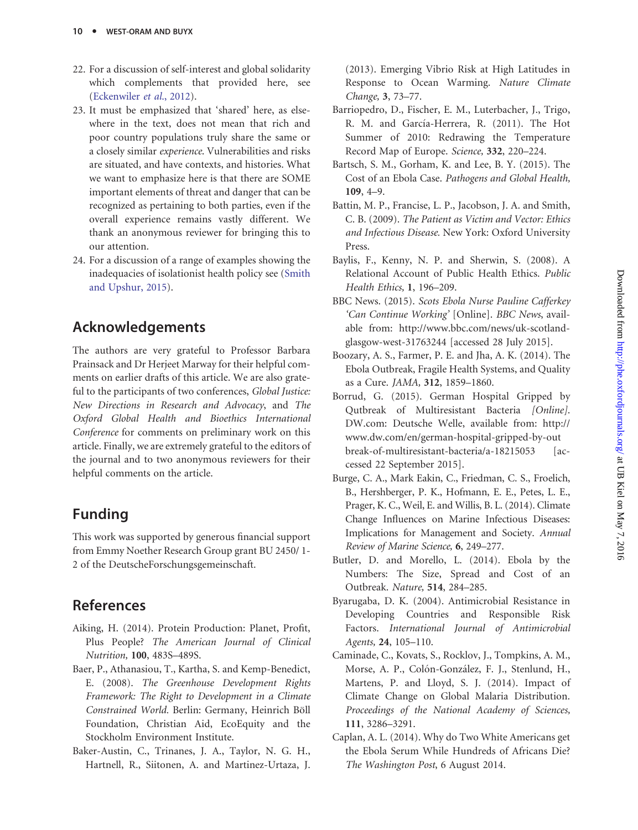- <span id="page-9-0"></span>22. For a discussion of self-interest and global solidarity which complements that provided here, see [\(Eckenwiler](#page-10-0) et al., 2012).
- 23. It must be emphasized that 'shared' here, as elsewhere in the text, does not mean that rich and poor country populations truly share the same or a closely similar experience. Vulnerabilities and risks are situated, and have contexts, and histories. What we want to emphasize here is that there are SOME important elements of threat and danger that can be recognized as pertaining to both parties, even if the overall experience remains vastly different. We thank an anonymous reviewer for bringing this to our attention.
- 24. For a discussion of a range of examples showing the inadequacies of isolationist health policy see [\(Smith](#page-11-0) [and Upshur, 2015](#page-11-0)).

# Acknowledgements

The authors are very grateful to Professor Barbara Prainsack and Dr Herjeet Marway for their helpful comments on earlier drafts of this article. We are also grateful to the participants of two conferences, Global Justice: New Directions in Research and Advocacy, and The Oxford Global Health and Bioethics International Conference for comments on preliminary work on this article. Finally, we are extremely grateful to the editors of the journal and to two anonymous reviewers for their helpful comments on the article.

# Funding

This work was supported by generous financial support from Emmy Noether Research Group grant BU 2450/ 1- 2 of the DeutscheForschungsgemeinschaft.

# References

- Aiking, H. (2014). Protein Production: Planet, Profit, Plus People? The American Journal of Clinical Nutrition, 100, 483S–489S.
- Baer, P., Athanasiou, T., Kartha, S. and Kemp-Benedict, E. (2008). The Greenhouse Development Rights Framework: The Right to Development in a Climate Constrained World. Berlin: Germany, Heinrich Böll Foundation, Christian Aid, EcoEquity and the Stockholm Environment Institute.
- Baker-Austin, C., Trinanes, J. A., Taylor, N. G. H., Hartnell, R., Siitonen, A. and Martinez-Urtaza, J.

(2013). Emerging Vibrio Risk at High Latitudes in Response to Ocean Warming. Nature Climate Change, 3, 73–77.

- Barriopedro, D., Fischer, E. M., Luterbacher, J., Trigo, R. M. and García-Herrera, R. (2011). The Hot Summer of 2010: Redrawing the Temperature Record Map of Europe. Science, 332, 220–224.
- Bartsch, S. M., Gorham, K. and Lee, B. Y. (2015). The Cost of an Ebola Case. Pathogens and Global Health, 109, 4–9.
- Battin, M. P., Francise, L. P., Jacobson, J. A. and Smith, C. B. (2009). The Patient as Victim and Vector: Ethics and Infectious Disease. New York: Oxford University Press.
- Baylis, F., Kenny, N. P. and Sherwin, S. (2008). A Relational Account of Public Health Ethics. Public Health Ethics, 1, 196–209.
- BBC News. (2015). Scots Ebola Nurse Pauline Cafferkey 'Can Continue Working' [Online]. BBC News, available from: [http://www.bbc.com/news/uk-scotland](http://www.bbc.com/news/uk-scotland-glasgow-west-31763244)[glasgow-west-31763244](http://www.bbc.com/news/uk-scotland-glasgow-west-31763244) [accessed 28 July 2015].
- Boozary, A. S., Farmer, P. E. and Jha, A. K. (2014). The Ebola Outbreak, Fragile Health Systems, and Quality as a Cure. JAMA, 312, 1859–1860.
- Borrud, G. (2015). German Hospital Gripped by Qutbreak of Multiresistant Bacteria [Online]. DW.com: Deutsche Welle, available from: [http://](http://www.dw.com/en/german-hospital-gripped-by-outbreak-of-multiresistant-bacteria/a-18215053) [www.dw.com/en/german-hospital-gripped-by-out](http://www.dw.com/en/german-hospital-gripped-by-outbreak-of-multiresistant-bacteria/a-18215053) [break-of-multiresistant-bacteria/a-18215053](http://www.dw.com/en/german-hospital-gripped-by-outbreak-of-multiresistant-bacteria/a-18215053) [accessed 22 September 2015].
- Burge, C. A., Mark Eakin, C., Friedman, C. S., Froelich, B., Hershberger, P. K., Hofmann, E. E., Petes, L. E., Prager, K. C., Weil, E. and Willis, B. L. (2014). Climate Change Influences on Marine Infectious Diseases: Implications for Management and Society. Annual Review of Marine Science, 6, 249–277.
- Butler, D. and Morello, L. (2014). Ebola by the Numbers: The Size, Spread and Cost of an Outbreak. Nature, 514, 284–285.
- Byarugaba, D. K. (2004). Antimicrobial Resistance in Developing Countries and Responsible Risk Factors. International Journal of Antimicrobial Agents, 24, 105–110.
- Caminade, C., Kovats, S., Rocklov, J., Tompkins, A. M., Morse, A. P., Colón-González, F. J., Stenlund, H., Martens, P. and Lloyd, S. J. (2014). Impact of Climate Change on Global Malaria Distribution. Proceedings of the National Academy of Sciences, 111, 3286–3291.
- Caplan, A. L. (2014). Why do Two White Americans get the Ebola Serum While Hundreds of Africans Die? The Washington Post, 6 August 2014.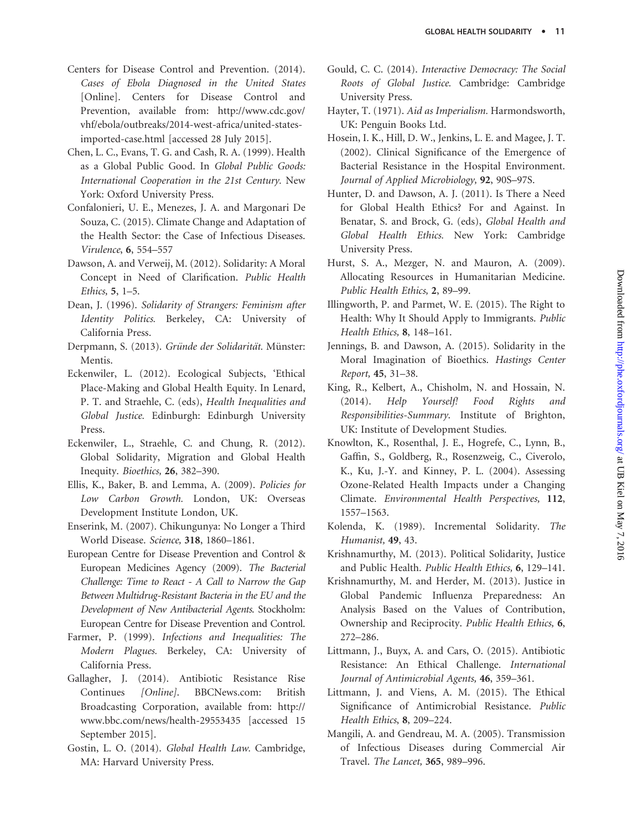- <span id="page-10-0"></span>Centers for Disease Control and Prevention. (2014). Cases of Ebola Diagnosed in the United States [Online]. Centers for Disease Control and Prevention, available from: [http://www.cdc.gov/](http://www.cdc.gov/vhf/ebola/outbreaks/2014-west-africa/united-states-imported-case.html) [vhf/ebola/outbreaks/2014-west-africa/united-states](http://www.cdc.gov/vhf/ebola/outbreaks/2014-west-africa/united-states-imported-case.html)[imported-case.html](http://www.cdc.gov/vhf/ebola/outbreaks/2014-west-africa/united-states-imported-case.html) [accessed 28 July 2015].
- Chen, L. C., Evans, T. G. and Cash, R. A. (1999). Health as a Global Public Good. In Global Public Goods: International Cooperation in the 21st Century. New York: Oxford University Press.
- Confalonieri, U. E., Menezes, J. A. and Margonari De Souza, C. (2015). Climate Change and Adaptation of the Health Sector: the Case of Infectious Diseases. Virulence, 6, 554–557
- Dawson, A. and Verweij, M. (2012). Solidarity: A Moral Concept in Need of Clarification. Public Health Ethics, 5, 1–5.
- Dean, J. (1996). Solidarity of Strangers: Feminism after Identity Politics. Berkeley, CA: University of California Press.
- Derpmann, S. (2013). Gründe der Solidarität. Münster: Mentis.
- Eckenwiler, L. (2012). Ecological Subjects, 'Ethical Place-Making and Global Health Equity. In Lenard, P. T. and Straehle, C. (eds), Health Inequalities and Global Justice. Edinburgh: Edinburgh University Press.
- Eckenwiler, L., Straehle, C. and Chung, R. (2012). Global Solidarity, Migration and Global Health Inequity. Bioethics, 26, 382–390.
- Ellis, K., Baker, B. and Lemma, A. (2009). Policies for Low Carbon Growth. London, UK: Overseas Development Institute London, UK.
- Enserink, M. (2007). Chikungunya: No Longer a Third World Disease. Science, 318, 1860–1861.
- European Centre for Disease Prevention and Control & European Medicines Agency (2009). The Bacterial Challenge: Time to React - A Call to Narrow the Gap Between Multidrug-Resistant Bacteria in the EU and the Development of New Antibacterial Agents. Stockholm: European Centre for Disease Prevention and Control.
- Farmer, P. (1999). Infections and Inequalities: The Modern Plagues. Berkeley, CA: University of California Press.
- Gallagher, J. (2014). Antibiotic Resistance Rise Continues [Online]. BBCNews.com: British Broadcasting Corporation, available from: [http://](http://www.bbc.com/news/health-29553435) [www.bbc.com/news/health-29553435](http://www.bbc.com/news/health-29553435) [accessed 15 September 2015].
- Gostin, L. O. (2014). Global Health Law. Cambridge, MA: Harvard University Press.
- Gould, C. C. (2014). Interactive Democracy: The Social Roots of Global Justice. Cambridge: Cambridge University Press.
- Hayter, T. (1971). Aid as Imperialism. Harmondsworth, UK: Penguin Books Ltd.
- Hosein, I. K., Hill, D. W., Jenkins, L. E. and Magee, J. T. (2002). Clinical Significance of the Emergence of Bacterial Resistance in the Hospital Environment. Journal of Applied Microbiology, 92, 90S–97S.
- Hunter, D. and Dawson, A. J. (2011). Is There a Need for Global Health Ethics? For and Against. In Benatar, S. and Brock, G. (eds), Global Health and Global Health Ethics. New York: Cambridge University Press.
- Hurst, S. A., Mezger, N. and Mauron, A. (2009). Allocating Resources in Humanitarian Medicine. Public Health Ethics, 2, 89–99.
- Illingworth, P. and Parmet, W. E. (2015). The Right to Health: Why It Should Apply to Immigrants. Public Health Ethics, 8, 148–161.
- Jennings, B. and Dawson, A. (2015). Solidarity in the Moral Imagination of Bioethics. Hastings Center Report, 45, 31–38.
- King, R., Kelbert, A., Chisholm, N. and Hossain, N. (2014). Help Yourself! Food Rights and Responsibilities-Summary. Institute of Brighton, UK: Institute of Development Studies.
- Knowlton, K., Rosenthal, J. E., Hogrefe, C., Lynn, B., Gaffin, S., Goldberg, R., Rosenzweig, C., Civerolo, K., Ku, J.-Y. and Kinney, P. L. (2004). Assessing Ozone-Related Health Impacts under a Changing Climate. Environmental Health Perspectives, 112, 1557–1563.
- Kolenda, K. (1989). Incremental Solidarity. The Humanist, 49, 43.
- Krishnamurthy, M. (2013). Political Solidarity, Justice and Public Health. Public Health Ethics, 6, 129–141.
- Krishnamurthy, M. and Herder, M. (2013). Justice in Global Pandemic Influenza Preparedness: An Analysis Based on the Values of Contribution, Ownership and Reciprocity. Public Health Ethics, 6, 272–286.
- Littmann, J., Buyx, A. and Cars, O. (2015). Antibiotic Resistance: An Ethical Challenge. International Journal of Antimicrobial Agents, 46, 359–361.
- Littmann, J. and Viens, A. M. (2015). The Ethical Significance of Antimicrobial Resistance. Public Health Ethics, 8, 209–224.
- Mangili, A. and Gendreau, M. A. (2005). Transmission of Infectious Diseases during Commercial Air Travel. The Lancet, 365, 989–996.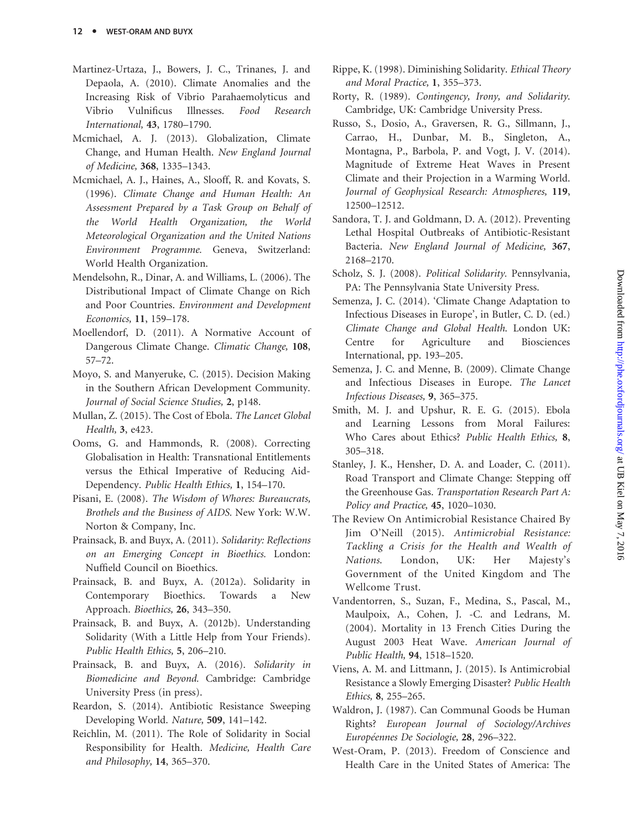- <span id="page-11-0"></span>Martinez-Urtaza, J., Bowers, J. C., Trinanes, J. and Depaola, A. (2010). Climate Anomalies and the Increasing Risk of Vibrio Parahaemolyticus and Vibrio Vulnificus Illnesses. Food Research International, 43, 1780–1790.
- Mcmichael, A. J. (2013). Globalization, Climate Change, and Human Health. New England Journal of Medicine, 368, 1335–1343.
- Mcmichael, A. J., Haines, A., Slooff, R. and Kovats, S. (1996). Climate Change and Human Health: An Assessment Prepared by a Task Group on Behalf of the World Health Organization, the World Meteorological Organization and the United Nations Environment Programme. Geneva, Switzerland: World Health Organization.
- Mendelsohn, R., Dinar, A. and Williams, L. (2006). The Distributional Impact of Climate Change on Rich and Poor Countries. Environment and Development Economics, 11, 159–178.
- Moellendorf, D. (2011). A Normative Account of Dangerous Climate Change. Climatic Change, 108, 57–72.
- Moyo, S. and Manyeruke, C. (2015). Decision Making in the Southern African Development Community. Journal of Social Science Studies, 2, p148.
- Mullan, Z. (2015). The Cost of Ebola. The Lancet Global Health, 3, e423.
- Ooms, G. and Hammonds, R. (2008). Correcting Globalisation in Health: Transnational Entitlements versus the Ethical Imperative of Reducing Aid-Dependency. Public Health Ethics, 1, 154–170.
- Pisani, E. (2008). The Wisdom of Whores: Bureaucrats, Brothels and the Business of AIDS. New York: W.W. Norton & Company, Inc.
- Prainsack, B. and Buyx, A. (2011). Solidarity: Reflections on an Emerging Concept in Bioethics. London: Nuffield Council on Bioethics.
- Prainsack, B. and Buyx, A. (2012a). Solidarity in Contemporary Bioethics. Towards a New Approach. Bioethics, 26, 343–350.
- Prainsack, B. and Buyx, A. (2012b). Understanding Solidarity (With a Little Help from Your Friends). Public Health Ethics, 5, 206–210.
- Prainsack, B. and Buyx, A. (2016). Solidarity in Biomedicine and Beyond. Cambridge: Cambridge University Press (in press).
- Reardon, S. (2014). Antibiotic Resistance Sweeping Developing World. Nature, 509, 141–142.
- Reichlin, M. (2011). The Role of Solidarity in Social Responsibility for Health. Medicine, Health Care and Philosophy, 14, 365–370.
- Rippe, K. (1998). Diminishing Solidarity. Ethical Theory and Moral Practice, 1, 355–373.
- Rorty, R. (1989). Contingency, Irony, and Solidarity. Cambridge, UK: Cambridge University Press.
- Russo, S., Dosio, A., Graversen, R. G., Sillmann, J., Carrao, H., Dunbar, M. B., Singleton, A., Montagna, P., Barbola, P. and Vogt, J. V. (2014). Magnitude of Extreme Heat Waves in Present Climate and their Projection in a Warming World. Journal of Geophysical Research: Atmospheres, 119, 12500–12512.
- Sandora, T. J. and Goldmann, D. A. (2012). Preventing Lethal Hospital Outbreaks of Antibiotic-Resistant Bacteria. New England Journal of Medicine, 367, 2168–2170.
- Scholz, S. J. (2008). Political Solidarity. Pennsylvania, PA: The Pennsylvania State University Press.
- Semenza, J. C. (2014). 'Climate Change Adaptation to Infectious Diseases in Europe', in Butler, C. D. (ed.) Climate Change and Global Health. London UK: Centre for Agriculture and Biosciences International, pp. 193–205.
- Semenza, J. C. and Menne, B. (2009). Climate Change and Infectious Diseases in Europe. The Lancet Infectious Diseases, 9, 365–375.
- Smith, M. J. and Upshur, R. E. G. (2015). Ebola and Learning Lessons from Moral Failures: Who Cares about Ethics? Public Health Ethics, 8, 305–318.
- Stanley, J. K., Hensher, D. A. and Loader, C. (2011). Road Transport and Climate Change: Stepping off the Greenhouse Gas. Transportation Research Part A: Policy and Practice, 45, 1020–1030.
- The Review On Antimicrobial Resistance Chaired By Jim O'Neill (2015). Antimicrobial Resistance: Tackling a Crisis for the Health and Wealth of Nations. London, UK: Her Majesty's Government of the United Kingdom and The Wellcome Trust.
- Vandentorren, S., Suzan, F., Medina, S., Pascal, M., Maulpoix, A., Cohen, J. -C. and Ledrans, M. (2004). Mortality in 13 French Cities During the August 2003 Heat Wave. American Journal of Public Health, 94, 1518–1520.
- Viens, A. M. and Littmann, J. (2015). Is Antimicrobial Resistance a Slowly Emerging Disaster? Public Health Ethics, 8, 255–265.
- Waldron, J. (1987). Can Communal Goods be Human Rights? European Journal of Sociology/Archives Européennes De Sociologie, 28, 296–322.
- West-Oram, P. (2013). Freedom of Conscience and Health Care in the United States of America: The